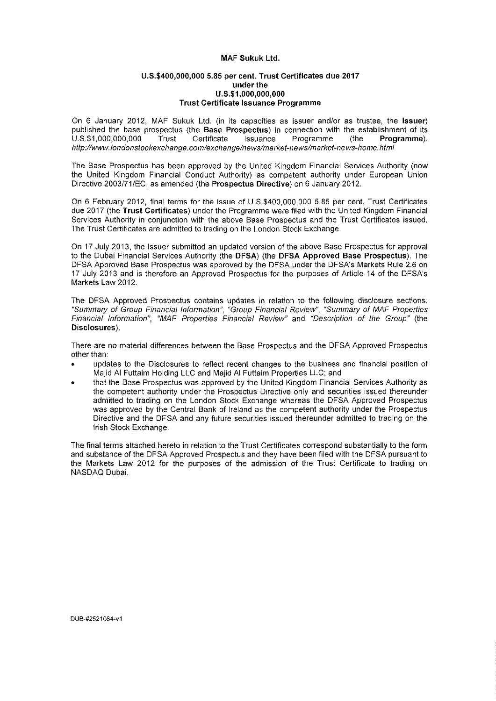### **MAF Sukuk Ltd.**

#### **U.S.\$400,000,000 5.85 per cent. Trust Certificates due 2017 under the U.S.SI.OOO.OOO.OOO Trust Certificate Issuance Programme**

On 6 January 2012, MAF Sukuk Ltd. (in its capacities as issuer and/or as trustee, the **Issuer)**  published the base prospectus (the **Base Prospectus)** in connection with the establishment of its U.S.\$1,000,000,000 Trust Certificate Issuance Programme (the **Programme).**  [http://wwwJondonstockexchange.com/exchange/news/market-news/market-news-home.](http://wwwJondonstockexchange.com/exchange/news/market-news/market-news-home.htmi)htmi

The Base Prospectus has been approved by the United Kingdom Financial Services Authority (now the United Kingdom Financial Conduct Authority) as competent authority under European Union Directive 2003/71/EC, as amended (the **Prospectus Directive)** on 6 January 2012.

On 6 February 2012, final terms for the issue of U.S.\$400,000,000 5.85 per cent. Trust Certificates due 2017 (the **Trust Certificates)** under the Programme were filed with the United Kingdom Financial Services Authority in conjunction with the above Base Prospectus and the Trust Certificates issued, The Trust Certificates are admitted to trading on the London Stock Exchange.

On 17 July 2013, the Issuer submitted an updated version of the above Base Prospectus for approval to the Dubai Financial Services Authority (the **DFSA)** (the **DFSA Approved Base Prospectus).** The DFSA Approved Base Prospectus was approved by the DFSA under the DFSA's Markets Rule 2.6 on 17 July 2013 and is therefore an Approved Prospectus for the purposes of Article 14 of the DFSA's Markets Law 2012.

The DFSA Approved Prospectus contains updates in relation to the following disclosure sections: "Summary of Group Financial Information", "Group Financial Review", "Summary of MAF Properties Financial information", "MAF Properties Financial Review" and "Description of the Group" (the **Disclosures),** 

There are no material differences between the Base Prospectus and the DFSA Approved Prospectus other than:

- updates to the Disclosures to reflect recent changes to the business and financial position of Majid Al Futtaim Holding LLC and Majid Al Futtaim Properties LLC; and
- that the Base Prospectus was approved by the United Kingdom Financial Services Authority as the competent authority under the Prospectus Directive only and securities issued thereunder admitted to trading on the London Stock Exchange whereas the DFSA Approved Prospectus was approved by the Central Bank of Ireland as the competent authority under the Prospectus Directive and the DFSA and any future securities issued thereunder admitted to trading on the Irish Stock Exchange.

The final terms attached hereto in relation to the Trust Certificates correspond substantially to the form and substance of the DFSA Approved Prospectus and they have been filed with the DFSA pursuant to the Markets Law 2012 for the purposes of the admission of the Trust Certificate to trading on NASDAQ Dubai.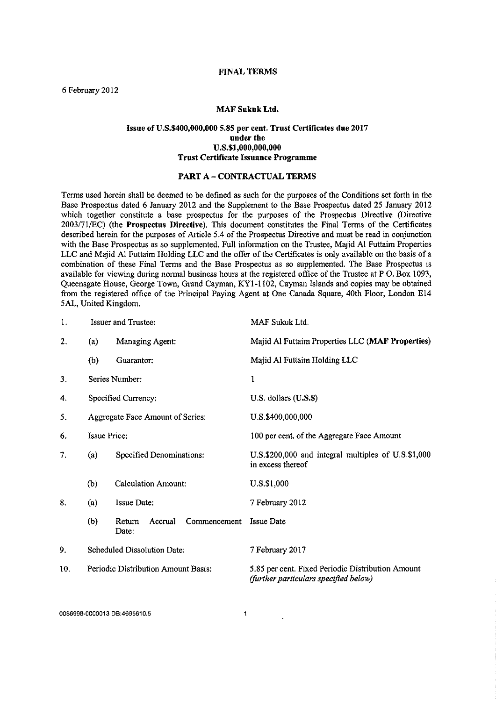#### **FINAL TERMS**

6 February 2012

#### **MAF Sukuk Ltd.**

### **Issue of U.S.\$400,000,000 5.85 per cent Trust Certificates due 2017 under the U.S.\$1,000,000,000 Trust Certificate Issuance Programme**

### **PART A - CONTRACTUAL TERMS**

Terms used herein shall be deemed to be defined as such for the purposes of the Conditions set forth in the Base Prospectus dated 6 January 2012 and the Supplement to the Base Prospectus dated 25 January 2012 which together constitute a base prospectus for the purposes of the Prospectus Directive (Directive 2003/71/EC) (the **Prospectus Directive).** This document constitutes the Final Terms of the Certificates described herein for the purposes of Article 5.4 of the Prospectus Directive and must be read in conjunction with the Base Prospectus as so supplemented. Full information on the Trustee, Majid Al Futtaim Properties LLC and Majid Al Futtaim Holding LLC and the offer of the Certificates is only available on the basis of a combination of these Final Terms and the Base Prospectus as so supplemented. The Base Prospectus is available for viewing during normal business hours at the registered office of the Trustee at P.O. Box 1093, Queensgate House, George Town, Grand Cayman, KY1-1102, Cayman Islands and copies may be obtained from the registered office of the Principal Paying Agent at One Canada Square, 40th Floor, London E14 5AL, United Kingdom.

| 1.  | <b>Issuer and Trustee:</b>          |                                            | MAF Sukuk Ltd.                                                                             |  |
|-----|-------------------------------------|--------------------------------------------|--------------------------------------------------------------------------------------------|--|
| 2.  | (a)                                 | Managing Agent:                            | Majid Al Futtaim Properties LLC (MAF Properties)                                           |  |
|     | (b)                                 | Guarantor:                                 | Majid Al Futtaim Holding LLC                                                               |  |
| 3.  |                                     | Series Number:                             | $\mathbf{1}$                                                                               |  |
| 4.  |                                     | Specified Currency:                        | U.S. dollars (U.S.\$)                                                                      |  |
| 5.  | Aggregate Face Amount of Series:    |                                            | U.S.\$400,000,000                                                                          |  |
| 6.  | Issue Price:                        |                                            | 100 per cent. of the Aggregate Face Amount                                                 |  |
| 7.  | Specified Denominations:<br>(a)     |                                            | U.S.\$200,000 and integral multiples of U.S.\$1,000<br>in excess thereof                   |  |
|     | (b)                                 | <b>Calculation Amount:</b>                 | U.S.\$1,000                                                                                |  |
| 8.  | (a)                                 | <b>Issue Date:</b>                         | 7 February 2012                                                                            |  |
|     | (b)                                 | Return<br>Accrual<br>Commencement<br>Date: | <b>Issue Date</b>                                                                          |  |
| 9.  | Scheduled Dissolution Date:         |                                            | 7 February 2017                                                                            |  |
| 10. | Periodic Distribution Amount Basis: |                                            | 5.85 per cent. Fixed Periodic Distribution Amount<br>(further particulars specified below) |  |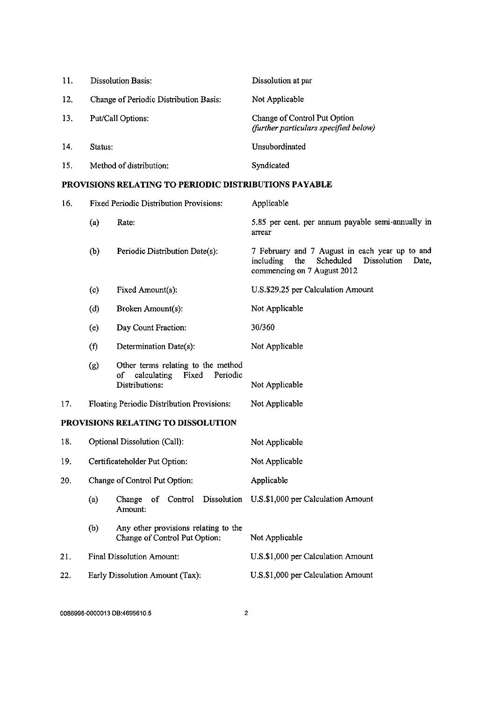| 11. | <b>Dissolution Basis:</b>              | Dissolution at par                                                    |
|-----|----------------------------------------|-----------------------------------------------------------------------|
| 12. | Change of Periodic Distribution Basis: | Not Applicable                                                        |
| 13. | Put/Call Options:                      | Change of Control Put Option<br>(further particulars specified below) |
| 14. | Status:                                | Unsubordinated                                                        |
| 15. | Method of distribution:                | Syndicated                                                            |

# **PROVISIONS RELATING TO PERIODIC DISTRIBUTIONS PAYABLE**

| 16. | <b>Fixed Periodic Distribution Provisions:</b> |                                                                                                | Applicable                                                                                                                             |  |
|-----|------------------------------------------------|------------------------------------------------------------------------------------------------|----------------------------------------------------------------------------------------------------------------------------------------|--|
|     | (a)                                            | Rate:                                                                                          | 5.85 per cent. per annum payable semi-annually in<br>arrear                                                                            |  |
|     | (b)                                            | Periodic Distribution Date(s):                                                                 | 7 February and 7 August in each year up to and<br>Scheduled<br>Dissolution<br>including<br>the<br>Date,<br>commencing on 7 August 2012 |  |
|     | (c)                                            | Fixed Amount(s):                                                                               | U.S.\$29.25 per Calculation Amount                                                                                                     |  |
|     | (d)                                            | Broken Amount(s):                                                                              | Not Applicable                                                                                                                         |  |
|     | (e)                                            | Day Count Fraction:                                                                            | 30/360                                                                                                                                 |  |
|     | (f)                                            | Determination Date(s):                                                                         | Not Applicable                                                                                                                         |  |
|     | (g)                                            | Other terms relating to the method<br>of<br>calculating<br>Fixed<br>Periodic<br>Distributions: | Not Applicable                                                                                                                         |  |
| 17. |                                                | Floating Periodic Distribution Provisions:                                                     | Not Applicable                                                                                                                         |  |
|     |                                                | PROVISIONS RELATING TO DISSOLUTION                                                             |                                                                                                                                        |  |
| 18. |                                                | Optional Dissolution (Call):                                                                   | Not Applicable                                                                                                                         |  |
| 19. | Certificateholder Put Option:                  |                                                                                                | Not Applicable                                                                                                                         |  |
| 20. | Change of Control Put Option:                  |                                                                                                | Applicable                                                                                                                             |  |
|     | (a)                                            | Dissolution<br>Change<br>of Control<br>Amount:                                                 | U.S.\$1,000 per Calculation Amount                                                                                                     |  |
|     | (b)                                            | Any other provisions relating to the<br>Change of Control Put Option:                          | Not Applicable                                                                                                                         |  |
| 21. |                                                | <b>Final Dissolution Amount:</b>                                                               | U.S.\$1,000 per Calculation Amount                                                                                                     |  |
| 22. |                                                | Early Dissolution Amount (Tax):                                                                | U.S.\$1,000 per Calculation Amount                                                                                                     |  |
|     |                                                |                                                                                                |                                                                                                                                        |  |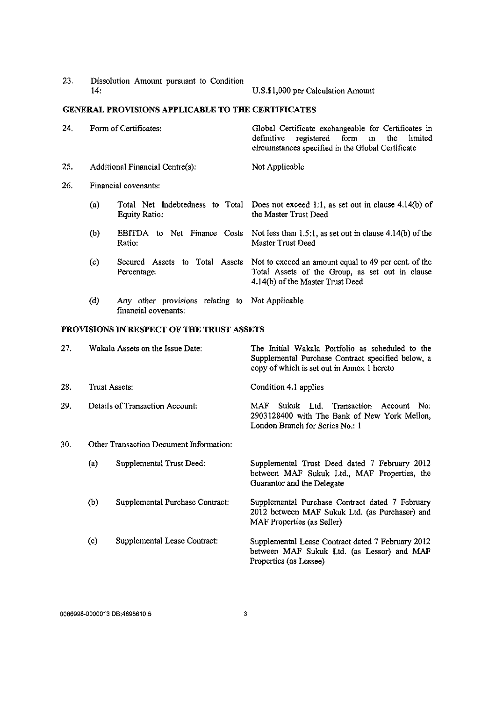23. Dissolution Amount pursuant to Condition

U.S.\$1,000 per Calculation Amount

# **GENERAL PROVISIONS APPLICABLE TO THE CERTIFICATES**

| 24.                                                                            | Form of Certificates:           |                                                  | Global Certificate exchangeable for Certificates in<br>registered form in the<br>definitive<br>limited<br>circumstances specified in the Global Certificate |  |
|--------------------------------------------------------------------------------|---------------------------------|--------------------------------------------------|-------------------------------------------------------------------------------------------------------------------------------------------------------------|--|
| 25.                                                                            | Additional Financial Centre(s): |                                                  | Not Applicable                                                                                                                                              |  |
| 26.                                                                            | Financial covenants:            |                                                  |                                                                                                                                                             |  |
|                                                                                | (a)                             | Total Net Indebtedness to Total<br>Equity Ratio: | Does not exceed 1:1, as set out in clause $4.14(b)$ of<br>the Master Trust Deed                                                                             |  |
|                                                                                | (b)                             | <b>EBITDA</b><br>to Net Finance Costs<br>Ratio:  | Not less than $1.5:1$ , as set out in clause $4.14(b)$ of the<br>Master Trust Deed                                                                          |  |
|                                                                                | (c)                             | to Total Assets<br>Secured Assets<br>Percentage: | Not to exceed an amount equal to 49 per cent. of the<br>Total Assets of the Group, as set out in clause<br>4.14(b) of the Master Trust Deed                 |  |
| (d)<br>Any other provisions relating to Not Applicable<br>financial covenants: |                                 |                                                  |                                                                                                                                                             |  |

# **PROVISIONS IN RESPECT OF THE TRUST ASSETS**

| 27. | Wakala Assets on the Issue Date: |                                         | The Initial Wakala Portfolio as scheduled to the<br>Supplemental Purchase Contract specified below, a<br>copy of which is set out in Annex 1 hereto |  |  |
|-----|----------------------------------|-----------------------------------------|-----------------------------------------------------------------------------------------------------------------------------------------------------|--|--|
| 28. |                                  | Trust Assets:                           | Condition 4.1 applies                                                                                                                               |  |  |
| 29. | Details of Transaction Account:  |                                         | Sukuk Ltd. Transaction<br>MAF<br>Account No:<br>2903128400 with The Bank of New York Mellon,<br>London Branch for Series No.: 1                     |  |  |
| 30. |                                  | Other Transaction Document Information: |                                                                                                                                                     |  |  |
|     | (a)                              | Supplemental Trust Deed:                | Supplemental Trust Deed dated 7 February 2012<br>between MAF Sukuk Ltd., MAF Properties, the<br>Guarantor and the Delegate                          |  |  |
|     | (b)                              | Supplemental Purchase Contract:         | Supplemental Purchase Contract dated 7 February<br>2012 between MAF Sukuk Ltd. (as Purchaser) and<br>MAF Properties (as Seller)                     |  |  |
|     | $\left( \circ \right)$           | Supplemental Lease Contract:            | Supplemental Lease Contract dated 7 February 2012<br>between MAF Sukuk Ltd. (as Lessor) and MAF<br>Properties (as Lessee)                           |  |  |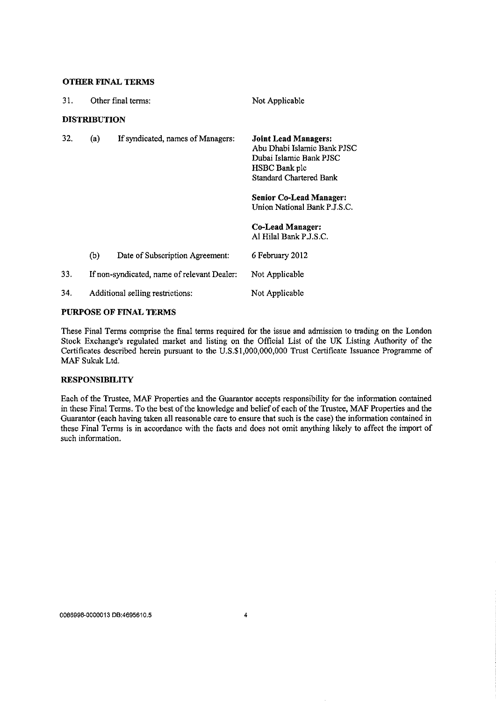### **OTHER FINAL TERMS**

| 31. | Other final terms:               |                                             | Not Applicable                                                                                                                                                                                                                                           |  |
|-----|----------------------------------|---------------------------------------------|----------------------------------------------------------------------------------------------------------------------------------------------------------------------------------------------------------------------------------------------------------|--|
|     | <b>DISTRIBUTION</b>              |                                             |                                                                                                                                                                                                                                                          |  |
| 32. | (a)                              | If syndicated, names of Managers:           | <b>Joint Lead Managers:</b><br>Abu Dhabi Islamic Bank PJSC<br>Dubai Islamic Bank PJSC<br>HSBC Bank plc<br><b>Standard Chartered Bank</b><br><b>Senior Co-Lead Manager:</b><br>Union National Bank P.J.S.C.<br>Co-Lead Manager:<br>Al Hilal Bank P.J.S.C. |  |
|     | (b)                              | Date of Subscription Agreement:             | 6 February 2012                                                                                                                                                                                                                                          |  |
| 33. |                                  | If non-syndicated, name of relevant Dealer: | Not Applicable                                                                                                                                                                                                                                           |  |
| 34. | Additional selling restrictions: |                                             | Not Applicable                                                                                                                                                                                                                                           |  |
|     |                                  |                                             |                                                                                                                                                                                                                                                          |  |

# PURPOSE OF FINAL TERMS

These Final Terms comprise the final terms required for the issue and admission to trading on the London Stock Exchange's regulated market and listing on the Official List of the UK Listing Authority of the Certificates described herein pursuant to the U.S.\$1,000,000,000 Trust Certificate Issuance Programme of MAF Sukuk Ltd.

# **RESPONSIBILITY**

Each of the Trustee, MAF Properties and the Guarantor accepts responsibility for the information contained in these Final Terms. To the best of the knowledge and belief of each of the Trustee, MAF Properties and the Guarantor (each having taken all reasonable care to ensure that such is the case) the information contained in these Final Terms is in accordance with the facts and does not omit anything likely to affect the import of such information.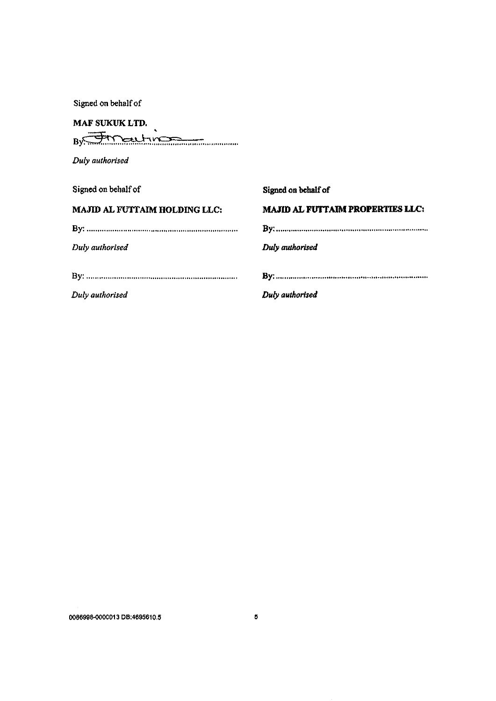Signed on behalf of

# **MAF SUKUK LTD.**

 $By$ 

*Duly authorised* 

| Signed on behalf of           | Signed on behalf of                     |
|-------------------------------|-----------------------------------------|
| MAJID AL FUTTAIM HOLDING LLC: | <b>MAJID AL FUTTAIM PROPERTIES LLC:</b> |
|                               |                                         |
| Duly authorised               | Duly authorised                         |
|                               |                                         |
|                               |                                         |
| Duly authorised               | Duly authorised                         |
|                               |                                         |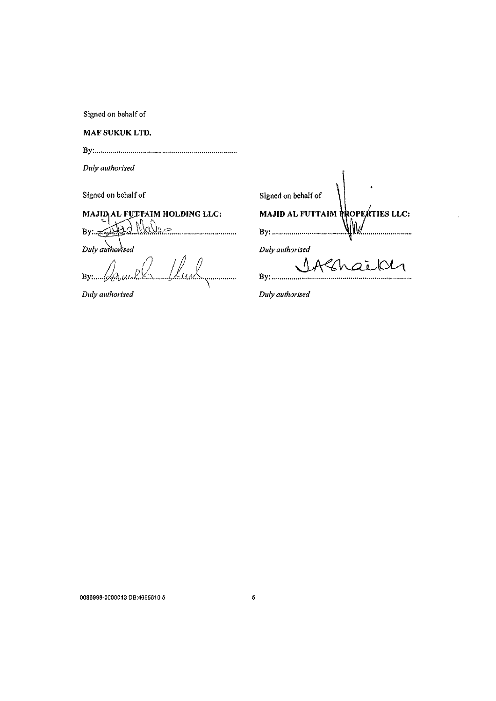Signed on behalf of

**MAF SUKUK LTD.** 

By:

*Duly authorised* 

Signed on behalf of

**MAJID<sub>I</sub>AL FUTTAIM HOLDING LLC:** N  $\alpha$ d  $Bv:$ ... . . . . . . . . . . . . *Duly auihoPised* 

By: January January 1111

*Duly authorised* 

| Signed on behalf of |                                  |
|---------------------|----------------------------------|
|                     | MAJID AL FUTTAIM PROPERTIES LLC: |
| By:                 |                                  |
| Duly authorised     |                                  |
|                     | rehoidh                          |
|                     |                                  |

*Duly authorised* 

0086998-0000013 DB:4695610.5 5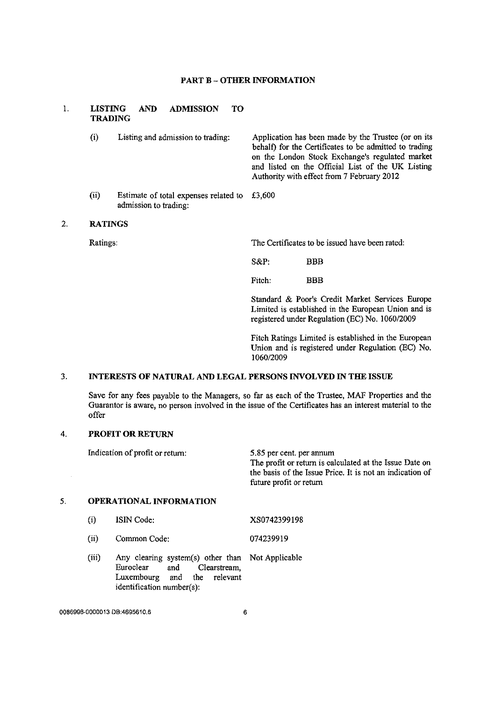### **PART B - OTHER INFORMATION**

#### 1. **LISTING AND ADMISSION TO TRADING**

(i) Listing and admission to trading: (ii) Estimate of total expenses related to admission to trading: Application has been made by the Trustee (or on its behalf) for the Certificates to be admitted to trading on the London Stock Exchange's regulated market and listed on the Official List of the UK Listing Authority with effect from 7 February 2012 £3,600

#### $2.$ **RATINGS**

Ratings: The Certificates to be issued have been rated:

S&P: BBB

Fitch: BBB

Standard & Poor's Credit Market Services Europe Limited is established in the European Union and is registered under Regulation (EC) No. 1060/2009

Fitch Ratings Limited is established in the European Union and is registered under Regulation (EC) No. 1060/2009

#### $\overline{3}$ . **INTERESTS OF NATURAL AND LEGAL PERSONS INVOLVED IN THE ISSUE**

Save for any fees payable to the Managers, so far as each of the Trustee, MAF Properties and the Guarantor is aware, no person involved in the issue of the Certificates has an interest material to the offer

#### $\ddot{4}$ . **PROFIT OR RETURN**

 $\mathbb{R}^2$ 

 $5<sub>1</sub>$ 

Indication of profit or return: **OPERATIONAL INFORMATION**  (i) (ii) (iii) ISIN Code: Common Code: 5.85 per cent, per annum The profit or return is calculated at the Issue Date on the basis of the Issue Price. It is not an indication of future profit or return XS0742399198 074239919 Any clearing system(s) other than Not Applicable<br>Euroclear and Clearstream, and Clearstream, Luxembourg and the relevant identification number(s):

0086998-0000013 DB:4695610.5 6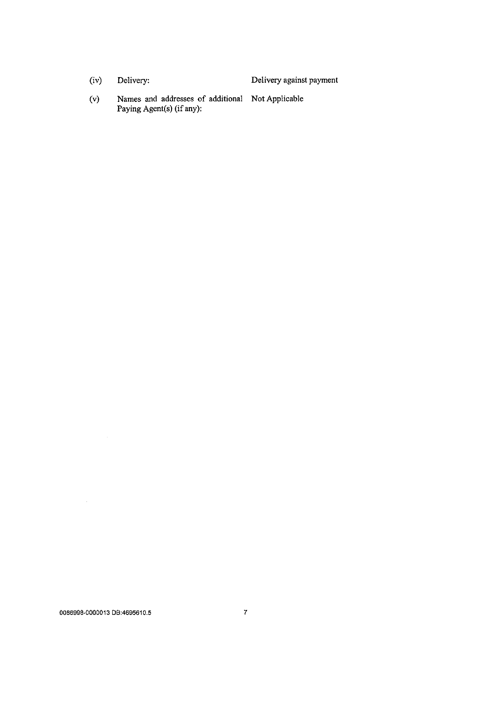|  | (iv) | Delivery: | Delivery against payment |
|--|------|-----------|--------------------------|
|--|------|-----------|--------------------------|

(v) Names and addresses of additional Not Applicable Paying Agent(s) (if any):

 $\sim 10^{11}$ 

 $\mathcal{L}^{\text{max}}_{\text{max}}$